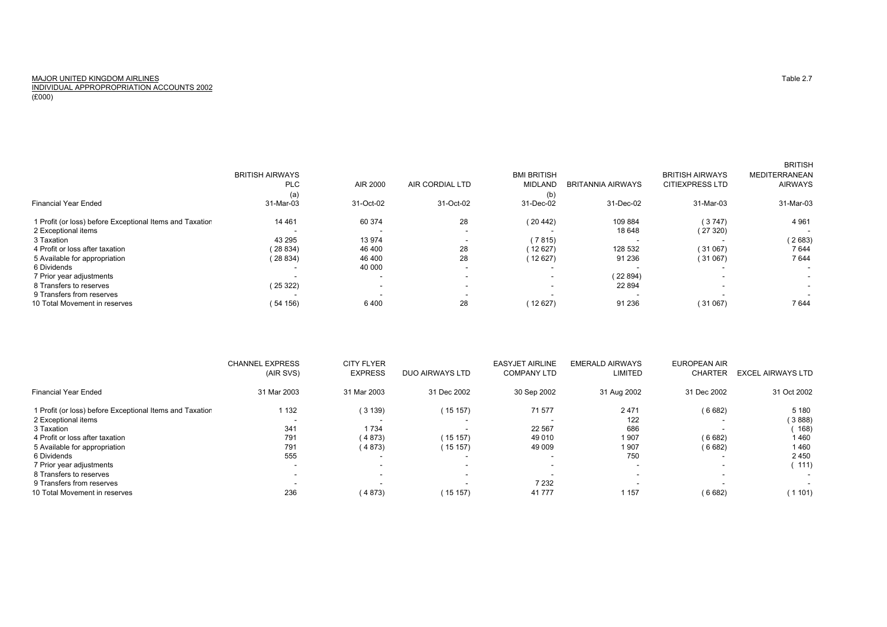## MAJOR UNITED KINGDOM AIRLINES Table 2.7 INDIVIDUAL APPROPROPRIATION ACCOUNTS 2002

(£000)

|                                                          |                        |           |                          |                          |                          |                        | <b>BRITISH</b>           |
|----------------------------------------------------------|------------------------|-----------|--------------------------|--------------------------|--------------------------|------------------------|--------------------------|
|                                                          | <b>BRITISH AIRWAYS</b> |           |                          | <b>BMI BRITISH</b>       |                          | <b>BRITISH AIRWAYS</b> | MEDITERRANEAN            |
|                                                          | <b>PLC</b>             | AIR 2000  | AIR CORDIAL LTD          | MIDLAND                  | BRITANNIA AIRWAYS        | <b>CITIEXPRESS LTD</b> | <b>AIRWAYS</b>           |
|                                                          | (a)                    |           |                          | (b)                      |                          |                        |                          |
| <b>Financial Year Ended</b>                              | 31-Mar-03              | 31-Oct-02 | 31-Oct-02                | 31-Dec-02                | 31-Dec-02                | 31-Mar-03              | 31-Mar-03                |
| 1 Profit (or loss) before Exceptional Items and Taxation | 14 4 61                | 60 374    | 28                       | (20442)                  | 109 884                  | (3747)                 | 4 9 6 1                  |
| 2 Exceptional items                                      |                        |           | $\sim$                   |                          | 18 648                   | (27320)                |                          |
| 3 Taxation                                               | 43 295                 | 13 974    | $\overline{\phantom{0}}$ | (7815)                   | $\overline{\phantom{a}}$ |                        | (2683)                   |
| 4 Profit or loss after taxation                          | (28834)                | 46 400    | 28                       | (12627)                  | 128 532                  | (31067)                | 7644                     |
| 5 Available for appropriation                            | (28834)                | 46 400    | 28                       | 12627                    | 91 236                   | (31067)                | 7644                     |
| 6 Dividends                                              |                        | 40 000    | $\sim$                   | $\overline{\phantom{0}}$ |                          |                        | $\overline{\phantom{a}}$ |
| 7 Prior year adjustments                                 |                        |           | $\sim$                   | $\overline{\phantom{0}}$ | (22894)                  |                        | $\sim$                   |
| 8 Transfers to reserves                                  | (25 322)               | $\sim$    | $\sim$                   | $\overline{\phantom{a}}$ | 22 8 94                  | $\sim$                 | $\sim$                   |
| 9 Transfers from reserves                                |                        |           | $\sim$                   |                          |                          |                        | $\overline{\phantom{a}}$ |
| 10 Total Movement in reserves                            | (54 156)               | 6400      | 28                       | 12627                    | 91 236                   | (31067)                | 7644                     |

| <b>CHANNEL EXPRESS</b><br>(AIR SVS)                                     | <b>CITY FLYER</b><br><b>EXPRESS</b>                       | <b>DUO AIRWAYS LTD</b>                                     | <b>EASYJET AIRLINE</b><br><b>COMPANY LTD</b>                                                             | <b>EMERALD AIRWAYS</b><br><b>LIMITED</b>                      | <b>EUROPEAN AIR</b><br><b>CHARTER</b> | <b>EXCEL AIRWAYS LTD</b>                                       |
|-------------------------------------------------------------------------|-----------------------------------------------------------|------------------------------------------------------------|----------------------------------------------------------------------------------------------------------|---------------------------------------------------------------|---------------------------------------|----------------------------------------------------------------|
| 31 Mar 2003                                                             | 31 Mar 2003                                               | 31 Dec 2002                                                | 30 Sep 2002                                                                                              | 31 Aug 2002                                                   | 31 Dec 2002                           | 31 Oct 2002                                                    |
| 1 132<br>341<br>791<br>791<br>555<br>$\overline{\phantom{a}}$<br>$\sim$ | (3139)<br>1 7 3 4<br>(4873)<br>(4873)<br>-<br>۰<br>۰<br>- | (15157)<br>. .<br>(15 157)<br>(15 157)<br>$\sim$<br>$\sim$ | 71 577<br>22 5 67<br>49 010<br>49 009<br>$\overline{\phantom{a}}$<br>$\overline{\phantom{a}}$<br>7 2 3 2 | 2471<br>122<br>686<br>1907<br>1907<br>750<br>$\sim$<br>$\sim$ | (6682)<br>(6682)<br>(6682)<br>۰       | 5 1 8 0<br>3888<br>168)<br>1460<br>1460<br>2450<br>111)<br>. . |
|                                                                         | (4873)                                                    | (15157)                                                    | 41777                                                                                                    | 157                                                           |                                       | 1101                                                           |
|                                                                         | 236                                                       |                                                            |                                                                                                          |                                                               |                                       | (6682)                                                         |